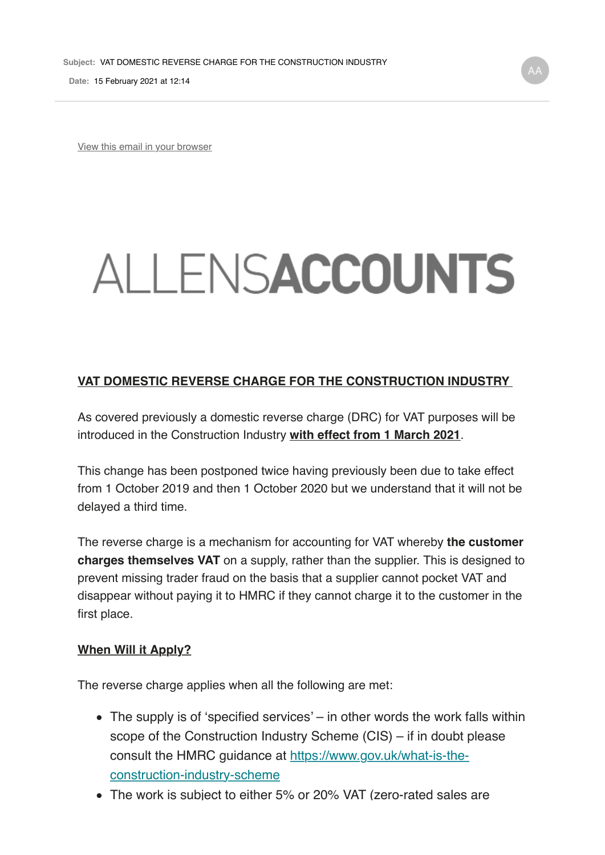**Date:** 15 February 2021 at 12:14

View this email in your browser

# ALLENSACCOUNTS

#### **VAT DOMESTIC REVERSE CHARGE FOR THE CONSTRUCTION INDUSTRY**

As covered previously a domestic reverse charge (DRC) for VAT purposes will be introduced in the Construction Industry **with effect from 1 March 2021**.

This change has been postponed twice having previously been due to take effect from 1 October 2019 and then 1 October 2020 but we understand that it will not be delayed a third time.

The reverse charge is a mechanism for accounting for VAT whereby **the customer charges themselves VAT** on a supply, rather than the supplier. This is designed to prevent missing trader fraud on the basis that a supplier cannot pocket VAT and disappear without paying it to HMRC if they cannot charge it to the customer in the first place.

#### **When Will it Apply?**

The reverse charge applies when all the following are met:

- The supply is of 'specified services' in other words the work falls within scope of the Construction Industry Scheme (CIS) – if in doubt please consult the HMRC guidance at https://www.gov.uk/what-is-theconstruction-industry-scheme
- The work is subject to either 5% or 20% VAT (zero-rated sales are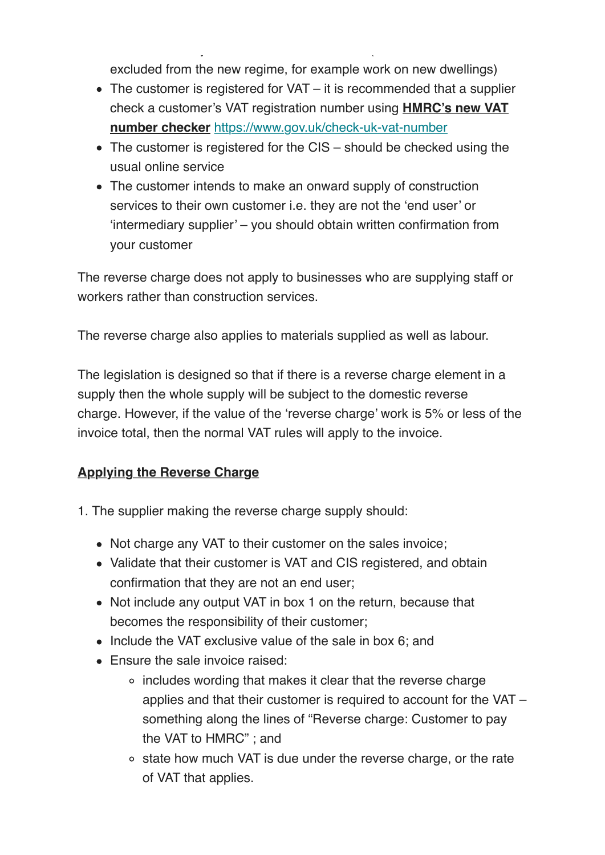excluded from the new regime, for example work on new dwellings)

The work is subject to either  $\mathcal{L}_\mathbf{z}$  or  $\mathcal{L}_\mathbf{z}$  or  $\mathcal{L}_\mathbf{z}$  or  $\mathcal{L}_\mathbf{z}$  are defined sales are defined satisfies

- The customer is registered for VAT it is recommended that a supplier check a customer's VAT registration number using **HMRC's new VAT number checker** https://www.gov.uk/check-uk-vat-number
- The customer is registered for the CIS should be checked using the usual online service
- The customer intends to make an onward supply of construction services to their own customer i.e. they are not the 'end user' or 'intermediary supplier' – you should obtain written confirmation from your customer

The reverse charge does not apply to businesses who are supplying staff or workers rather than construction services.

The reverse charge also applies to materials supplied as well as labour.

The legislation is designed so that if there is a reverse charge element in a supply then the whole supply will be subject to the domestic reverse charge. However, if the value of the 'reverse charge' work is 5% or less of the invoice total, then the normal VAT rules will apply to the invoice.

## **Applying the Reverse Charge**

- 1. The supplier making the reverse charge supply should:
	- Not charge any VAT to their customer on the sales invoice;
	- Validate that their customer is VAT and CIS registered, and obtain confirmation that they are not an end user;
	- Not include any output VAT in box 1 on the return, because that becomes the responsibility of their customer;
	- Include the VAT exclusive value of the sale in box 6; and
	- Ensure the sale invoice raised:
		- includes wording that makes it clear that the reverse charge applies and that their customer is required to account for the VAT – something along the lines of "Reverse charge: Customer to pay the VAT to HMRC" ; and
		- $\circ$  state how much VAT is due under the reverse charge, or the rate of VAT that applies.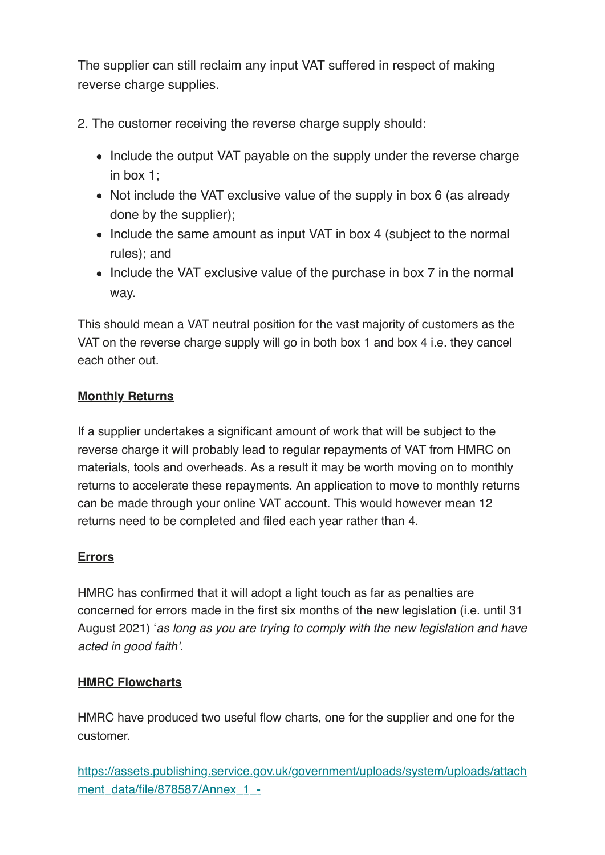The supplier can still reclaim any input VAT suffered in respect of making reverse charge supplies.

- 2. The customer receiving the reverse charge supply should:
	- Include the output VAT payable on the supply under the reverse charge in box 1;
	- Not include the VAT exclusive value of the supply in box 6 (as already done by the supplier);
	- Include the same amount as input VAT in box 4 (subject to the normal rules); and
	- Include the VAT exclusive value of the purchase in box 7 in the normal way.

This should mean a VAT neutral position for the vast majority of customers as the VAT on the reverse charge supply will go in both box 1 and box 4 i.e. they cancel each other out.

## **Monthly Returns**

If a supplier undertakes a significant amount of work that will be subject to the reverse charge it will probably lead to regular repayments of VAT from HMRC on materials, tools and overheads. As a result it may be worth moving on to monthly returns to accelerate these repayments. An application to move to monthly returns can be made through your online VAT account. This would however mean 12 returns need to be completed and filed each year rather than 4.

#### **Errors**

HMRC has confirmed that it will adopt a light touch as far as penalties are concerned for errors made in the first six months of the new legislation (i.e. until 31 August 2021) '*as long as you are trying to comply with the new legislation and have acted in good faith'*.

#### **HMRC Flowcharts**

HMRC have produced two useful flow charts, one for the supplier and one for the customer.

https://assets.publishing.service.gov.uk/government/uploads/system/uploads/attach ment\_data/file/878587/Annex\_1\_-